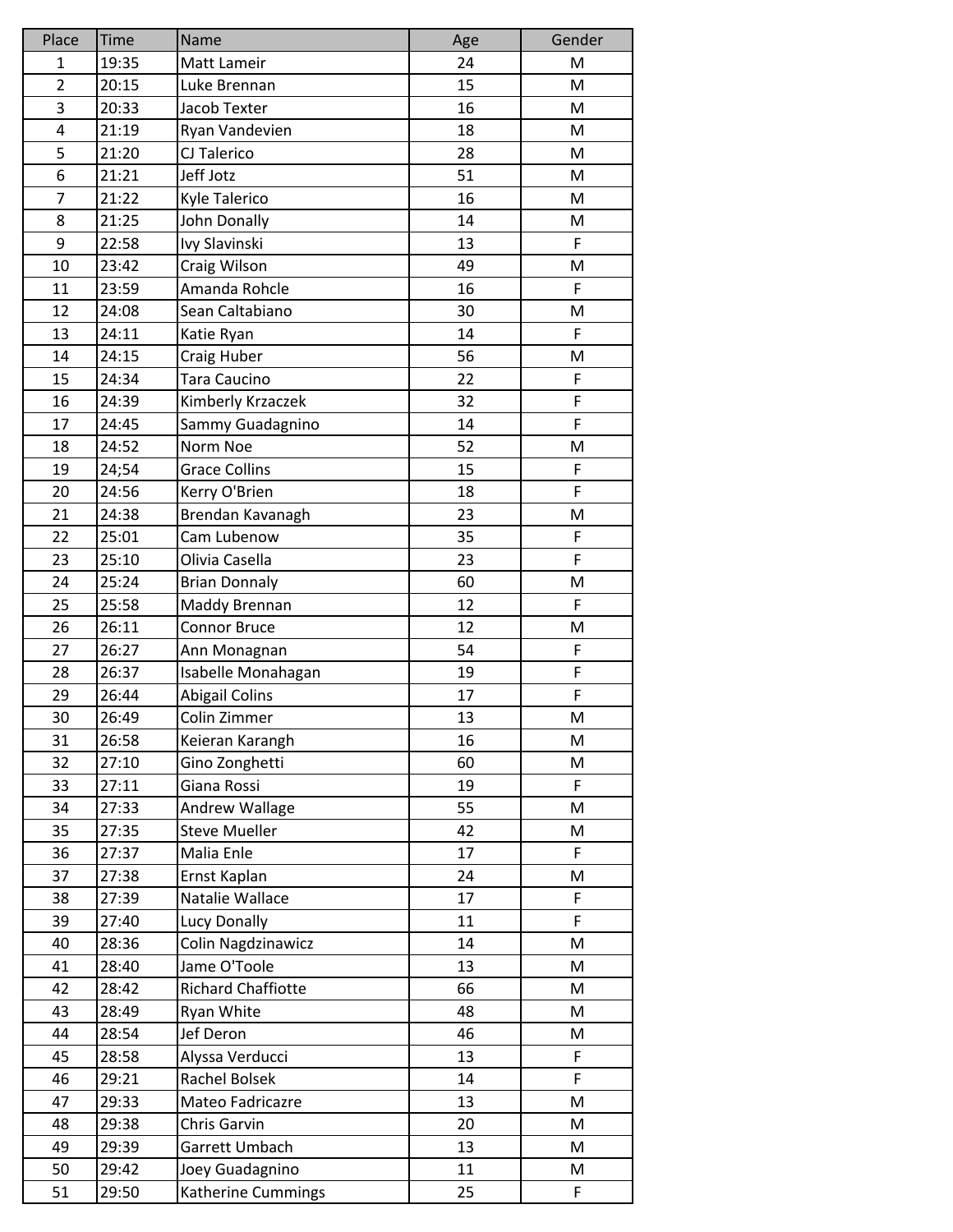| Place          | <b>Time</b> | Name                      | Age | Gender |
|----------------|-------------|---------------------------|-----|--------|
| $\mathbf{1}$   | 19:35       | Matt Lameir               | 24  | M      |
| $\overline{2}$ | 20:15       | Luke Brennan              | 15  | M      |
| 3              | 20:33       | Jacob Texter              | 16  | M      |
| 4              | 21:19       | Ryan Vandevien            | 18  | M      |
| 5              | 21:20       | CJ Talerico               | 28  | M      |
| 6              | 21:21       | Jeff Jotz                 | 51  | M      |
| 7              | 21:22       | Kyle Talerico             | 16  | M      |
| 8              | 21:25       | John Donally              | 14  | M      |
| 9              | 22:58       | Ivy Slavinski             | 13  | F      |
| 10             | 23:42       | Craig Wilson              | 49  | M      |
| 11             | 23:59       | Amanda Rohcle             | 16  | F      |
| 12             | 24:08       | Sean Caltabiano           | 30  | M      |
| 13             | 24:11       | Katie Ryan                | 14  | F      |
| 14             | 24:15       | Craig Huber               | 56  | M      |
| 15             | 24:34       | Tara Caucino              | 22  | F      |
| 16             | 24:39       | Kimberly Krzaczek         | 32  | F      |
| 17             | 24:45       | Sammy Guadagnino          | 14  | F      |
| 18             | 24:52       | Norm Noe                  | 52  | M      |
| 19             | 24;54       | <b>Grace Collins</b>      | 15  | F      |
| 20             | 24:56       | Kerry O'Brien             | 18  | F      |
| 21             | 24:38       | Brendan Kavanagh          | 23  | M      |
| 22             | 25:01       | Cam Lubenow               | 35  | F      |
| 23             | 25:10       | Olivia Casella            | 23  | F      |
| 24             | 25:24       | <b>Brian Donnaly</b>      | 60  | M      |
| 25             | 25:58       | Maddy Brennan             | 12  | F      |
| 26             | 26:11       | <b>Connor Bruce</b>       | 12  | M      |
| 27             | 26:27       | Ann Monagnan              | 54  | F      |
| 28             | 26:37       | Isabelle Monahagan        | 19  | F      |
| 29             | 26:44       | <b>Abigail Colins</b>     | 17  | F      |
| 30             | 26:49       | Colin Zimmer              | 13  | M      |
| 31             | 26:58       | Keieran Karangh           | 16  | M      |
| 32             | 27:10       | Gino Zonghetti            | 60  | M      |
| 33             | 27:11       | Giana Rossi               | 19  | F      |
| 34             | 27:33       | Andrew Wallage            | 55  | M      |
| 35             | 27:35       | <b>Steve Mueller</b>      | 42  | M      |
| 36             | 27:37       | Malia Enle                | 17  | F      |
| 37             | 27:38       | Ernst Kaplan              | 24  | M      |
| 38             | 27:39       | Natalie Wallace           | 17  | F      |
| 39             | 27:40       | Lucy Donally              | 11  | F      |
| 40             | 28:36       | Colin Nagdzinawicz        | 14  | M      |
| 41             | 28:40       | Jame O'Toole              | 13  | M      |
| 42             | 28:42       | <b>Richard Chaffiotte</b> | 66  | M      |
| 43             | 28:49       | Ryan White                | 48  | M      |
| 44             | 28:54       | Jef Deron                 | 46  | M      |
| 45             | 28:58       | Alyssa Verducci           | 13  | F      |
| 46             | 29:21       | Rachel Bolsek             | 14  | F      |
| 47             | 29:33       | Mateo Fadricazre          | 13  | M      |
| 48             | 29:38       | Chris Garvin              | 20  | M      |
| 49             | 29:39       | Garrett Umbach            | 13  | M      |
| 50             | 29:42       | Joey Guadagnino           | 11  | M      |
| 51             | 29:50       | Katherine Cummings        | 25  | F      |